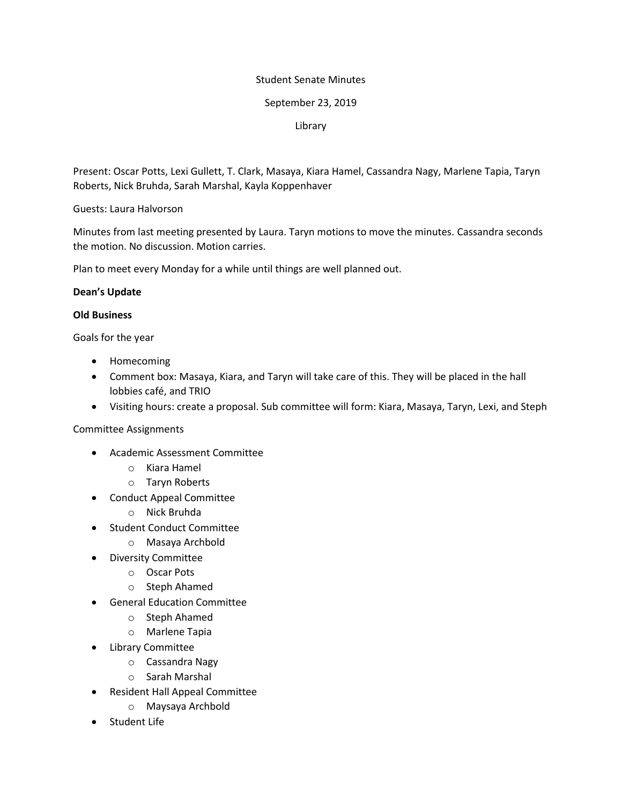### Student Senate Minutes

### September 23, 2019

### Library

Present: Oscar Potts, Lexi Gullett, T. Clark, Masaya, Kiara Hamel, Cassandra Nagy, Marlene Tapia, Taryn Roberts, Nick Bruhda, Sarah Marshal, Kayla Koppenhaver

Guests: Laura Halvorson

Minutes from last meeting presented by Laura. Taryn motions to move the minutes. Cassandra seconds the motion. No discussion. Motion carries.

Plan to meet every Monday for a while until things are well planned out.

### **Dean's Update**

### **Old Business**

Goals for the year

- Homecoming
- Comment box: Masaya, Kiara, and Taryn will take care of this. They will be placed in the hall lobbies café, and TRIO
- Visiting hours: create a proposal. Sub committee will form: Kiara, Masaya, Taryn, Lexi, and Steph

## Committee Assignments

- Academic Assessment Committee
	- o Kiara Hamel
	- o Taryn Roberts
- Conduct Appeal Committee
	- o Nick Bruhda
- Student Conduct Committee
	- o Masaya Archbold
- Diversity Committee
	- o Oscar Pots
	- o Steph Ahamed
- General Education Committee
	- o Steph Ahamed
	- o Marlene Tapia
- Library Committee
	- o Cassandra Nagy
	- o Sarah Marshal
- Resident Hall Appeal Committee
	- o Maysaya Archbold
- Student Life